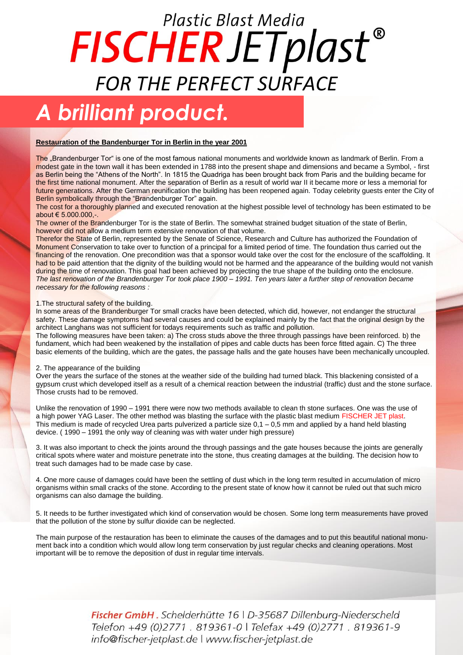## Plastic Blast Media FISCHERJETplast® *FOR THE PERFECT SURFACE*

### *A brilliant product.*

#### **Restauration of the Bandenburger Tor in Berlin in the year 2001**

The "Brandenburger Tor" is one of the most famous national monuments and worldwide known as landmark of Berlin. From a modest gate in the town wall it has been extended in 1788 into the present shape and dimensions and became a Symbol, - first as Berlin being the "Athens of the North". In 1815 the Quadriga has been brought back from Paris and the building became for the first time national monument. After the separation of Berlin as a result of world war II it became more or less a memorial for future generations. After the German reunification the building has been reopened again. Today celebrity guests enter the City of Berlin symbolically through the "Brandenburger Tor" again.

The cost for a thoroughly planned and executed renovation at the highest possible level of technology has been estimated to be about € 5.000.000,-.

The owner of the Brandenburger Tor is the state of Berlin. The somewhat strained budget situation of the state of Berlin, however did not allow a medium term extensive renovation of that volume.

Therefor the State of Berlin, represented by the Senate of Science, Research and Culture has authorized the Foundation of Monument Conservation to take over to function of a principal for a limited period of time. The foundation thus carried out the financing of the renovation. One precondition was that a sponsor would take over the cost for the enclosure of the scaffolding. It had to be paid attention that the dignity of the building would not be harmed and the appearance of the building would not vanish during the time of renovation. This goal had been achieved by projecting the true shape of the building onto the enclosure. *The last renovation of the Brandenburger Tor took place 1900 – 1991. Ten years later a further step of renovation became necessary for the following reasons :*

1.The structural safety of the building.

In some areas of the Brandenburger Tor small cracks have been detected, which did, however, not endanger the structural safety. These damage symptoms had several causes and could be explained mainly by the fact that the original design by the architect Langhans was not sufficient for todays requirements such as traffic and pollution.

The following measures have been taken: a) The cross studs above the three through passings have been reinforced. b) the fundament, which had been weakened by the installation of pipes and cable ducts has been force fitted again. C) The three basic elements of the building, which are the gates, the passage halls and the gate houses have been mechanically uncoupled.

#### 2. The appearance of the building

Over the years the surface of the stones at the weather side of the building had turned black. This blackening consisted of a gypsum crust which developed itself as a result of a chemical reaction between the industrial (traffic) dust and the stone surface. Those crusts had to be removed.

Unlike the renovation of 1990 – 1991 there were now two methods available to clean th stone surfaces. One was the use of a high power YAG Laser. The other method was blasting the surface with the plastic blast medium FISCHER JET plast. This medium is made of recycled Urea parts pulverized a particle size 0,1 – 0,5 mm and applied by a hand held blasting device. ( 1990 – 1991 the only way of cleaning was with water under high pressure)

3. It was also important to check the joints around the through passings and the gate houses because the joints are generally critical spots where water and moisture penetrate into the stone, thus creating damages at the building. The decision how to treat such damages had to be made case by case.

4. One more cause of damages could have been the settling of dust which in the long term resulted in accumulation of micro organisms within small cracks of the stone. According to the present state of know how it cannot be ruled out that such micro organisms can also damage the building.

5. It needs to be further investigated which kind of conservation would be chosen. Some long term measurements have proved that the pollution of the stone by sulfur dioxide can be neglected.

The main purpose of the restauration has been to eliminate the causes of the damages and to put this beautiful national monument back into a condition which would allow long term conservation by just regular checks and cleaning operations. Most important will be to remove the deposition of dust in regular time intervals.

> Fischer GmbH. Schelderhütte 16 | D-35687 Dillenburg-Niederscheld Telefon +49 (0)2771 . 819361-0 | Telefax +49 (0)2771 . 819361-9 info@fischer-jetplast.de | www.fischer-jetplast.de